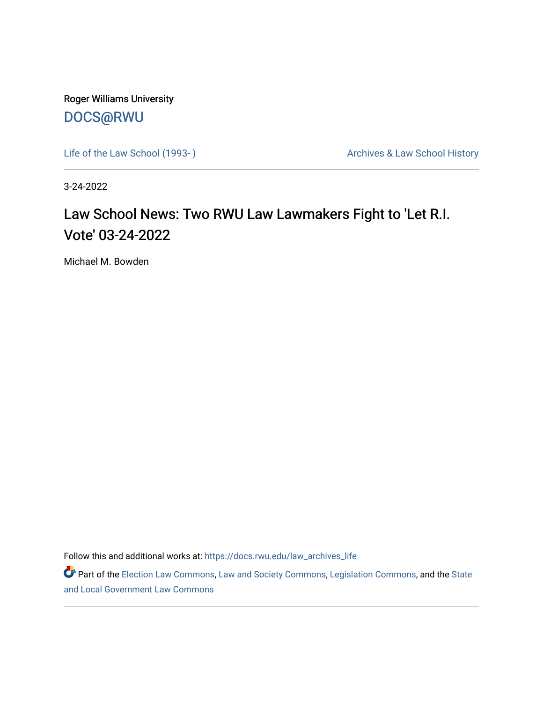Roger Williams University [DOCS@RWU](https://docs.rwu.edu/)

Life of the Law School (1993-) **Archives & Law School History** Archives & Law School History

3-24-2022

## Law School News: Two RWU Law Lawmakers Fight to 'Let R.I. Vote' 03-24-2022

Michael M. Bowden

Follow this and additional works at: [https://docs.rwu.edu/law\\_archives\\_life](https://docs.rwu.edu/law_archives_life?utm_source=docs.rwu.edu%2Flaw_archives_life%2F777&utm_medium=PDF&utm_campaign=PDFCoverPages)

Part of the [Election Law Commons](http://network.bepress.com/hgg/discipline/1121?utm_source=docs.rwu.edu%2Flaw_archives_life%2F777&utm_medium=PDF&utm_campaign=PDFCoverPages), [Law and Society Commons,](http://network.bepress.com/hgg/discipline/853?utm_source=docs.rwu.edu%2Flaw_archives_life%2F777&utm_medium=PDF&utm_campaign=PDFCoverPages) [Legislation Commons](http://network.bepress.com/hgg/discipline/859?utm_source=docs.rwu.edu%2Flaw_archives_life%2F777&utm_medium=PDF&utm_campaign=PDFCoverPages), and the State [and Local Government Law Commons](http://network.bepress.com/hgg/discipline/879?utm_source=docs.rwu.edu%2Flaw_archives_life%2F777&utm_medium=PDF&utm_campaign=PDFCoverPages)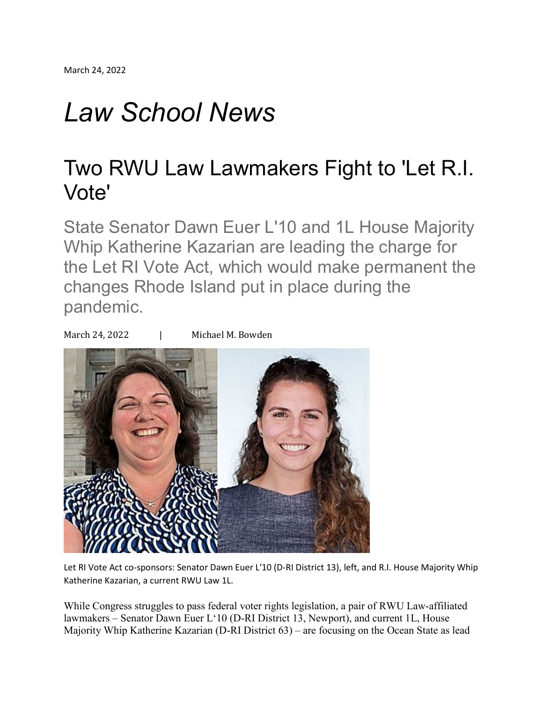## *Law School News*

## Two RWU Law Lawmakers Fight to 'Let R.I. Vote'

State Senator Dawn Euer L'10 and 1L House Majority Whip Katherine Kazarian are leading the charge for the Let RI Vote Act, which would make permanent the changes Rhode Island put in place during the pandemic.

March 24, 2022 | Michael M. Bowden



Let RI Vote Act co-sponsors: Senator Dawn Euer L'10 (D-RI District 13), left, and R.I. House Majority Whip Katherine Kazarian, a current RWU Law 1L.

While Congress struggles to pass federal voter rights legislation, a pair of RWU Law-affiliated lawmakers – Senator Dawn Euer L'10 (D-RI District 13, Newport), and current 1L, House Majority Whip Katherine Kazarian (D-RI District 63) – are focusing on the Ocean State as lead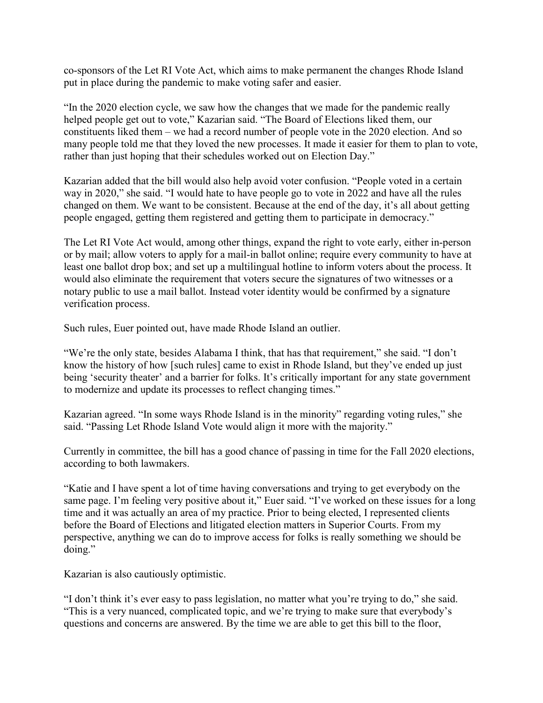co-sponsors of the Let RI Vote Act, which aims to make permanent the changes Rhode Island put in place during the pandemic to make voting safer and easier.

"In the 2020 election cycle, we saw how the changes that we made for the pandemic really helped people get out to vote," Kazarian said. "The Board of Elections liked them, our constituents liked them – we had a record number of people vote in the 2020 election. And so many people told me that they loved the new processes. It made it easier for them to plan to vote, rather than just hoping that their schedules worked out on Election Day."

Kazarian added that the bill would also help avoid voter confusion. "People voted in a certain way in 2020," she said. "I would hate to have people go to vote in 2022 and have all the rules changed on them. We want to be consistent. Because at the end of the day, it's all about getting people engaged, getting them registered and getting them to participate in democracy."

The Let RI Vote Act would, among other things, expand the right to vote early, either in-person or by mail; allow voters to apply for a mail-in ballot online; require every community to have at least one ballot drop box; and set up a multilingual hotline to inform voters about the process. It would also eliminate the requirement that voters secure the signatures of two witnesses or a notary public to use a mail ballot. Instead voter identity would be confirmed by a signature verification process.

Such rules, Euer pointed out, have made Rhode Island an outlier.

"We're the only state, besides Alabama I think, that has that requirement," she said. "I don't know the history of how [such rules] came to exist in Rhode Island, but they've ended up just being 'security theater' and a barrier for folks. It's critically important for any state government to modernize and update its processes to reflect changing times."

Kazarian agreed. "In some ways Rhode Island is in the minority" regarding voting rules," she said. "Passing Let Rhode Island Vote would align it more with the majority."

Currently in committee, the bill has a good chance of passing in time for the Fall 2020 elections, according to both lawmakers.

"Katie and I have spent a lot of time having conversations and trying to get everybody on the same page. I'm feeling very positive about it," Euer said. "I've worked on these issues for a long time and it was actually an area of my practice. Prior to being elected, I represented clients before the Board of Elections and litigated election matters in Superior Courts. From my perspective, anything we can do to improve access for folks is really something we should be doing."

Kazarian is also cautiously optimistic.

"I don't think it's ever easy to pass legislation, no matter what you're trying to do," she said. "This is a very nuanced, complicated topic, and we're trying to make sure that everybody's questions and concerns are answered. By the time we are able to get this bill to the floor,